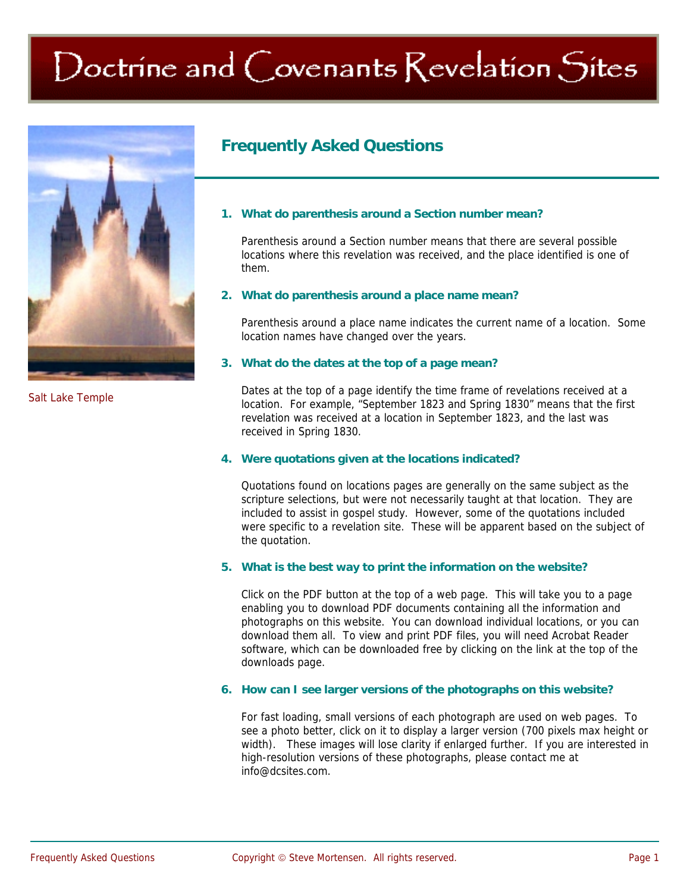## Doctrine and Covenants Revelation Sites



Salt Lake Temple

### **Frequently Asked Questions**

#### **1. What do parenthesis around a Section number mean?**

 Parenthesis around a Section number means that there are several possible locations where this revelation was received, and the place identified is one of them.

#### **2. What do parenthesis around a place name mean?**

 Parenthesis around a place name indicates the current name of a location. Some location names have changed over the years.

#### **3. What do the dates at the top of a page mean?**

 Dates at the top of a page identify the time frame of revelations received at a location. For example, "September 1823 and Spring 1830" means that the first revelation was received at a location in September 1823, and the last was received in Spring 1830.

#### **4. Were quotations given at the locations indicated?**

 Quotations found on locations pages are generally on the same subject as the scripture selections, but were not necessarily taught at that location. They are included to assist in gospel study. However, some of the quotations included were specific to a revelation site. These will be apparent based on the subject of the quotation.

#### **5. What is the best way to print the information on the website?**

 Click on the PDF button at the top of a web page. This will take you to a page enabling you to download PDF documents containing all the information and photographs on this website. You can download individual locations, or you can download them all. To view and print PDF files, you will need Acrobat Reader software, which can be downloaded free by clicking on the link at the top of the downloads page.

#### **6. How can I see larger versions of the photographs on this website?**

 For fast loading, small versions of each photograph are used on web pages. To see a photo better, click on it to display a larger version (700 pixels max height or width). These images will lose clarity if enlarged further. If you are interested in high-resolution versions of these photographs, please contact me at info@dcsites.com.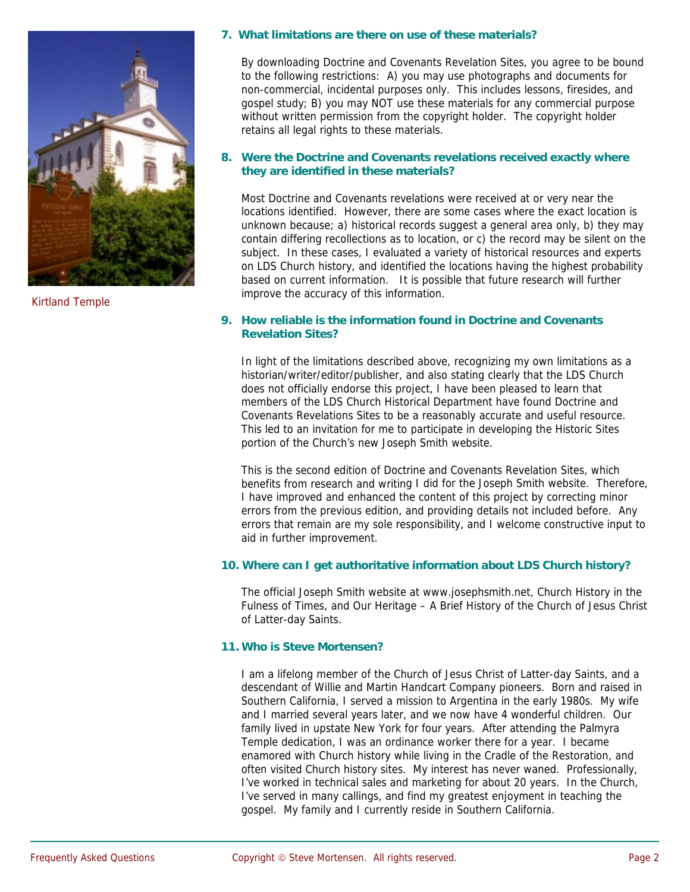

Kirtland Temple

#### **7. What limitations are there on use of these materials?**

 By downloading Doctrine and Covenants Revelation Sites, you agree to be bound to the following restrictions: A) you may use photographs and documents for non-commercial, incidental purposes only. This includes lessons, firesides, and gospel study; B) you may NOT use these materials for any commercial purpose without written permission from the copyright holder. The copyright holder retains all legal rights to these materials.

#### **8. Were the Doctrine and Covenants revelations received exactly where they are identified in these materials?**

 Most Doctrine and Covenants revelations were received at or very near the locations identified. However, there are some cases where the exact location is unknown because; a) historical records suggest a general area only, b) they may contain differing recollections as to location, or c) the record may be silent on the subject. In these cases, I evaluated a variety of historical resources and experts on LDS Church history, and identified the locations having the highest probability based on current information. It is possible that future research will further improve the accuracy of this information.

#### **9. How reliable is the information found in Doctrine and Covenants Revelation Sites?**

 In light of the limitations described above, recognizing my own limitations as a historian/writer/editor/publisher, and also stating clearly that the LDS Church does not officially endorse this project, I have been pleased to learn that members of the LDS Church Historical Department have found Doctrine and Covenants Revelations Sites to be a reasonably accurate and useful resource. This led to an invitation for me to participate in developing the Historic Sites portion of the Church's new Joseph Smith website.

This is the second edition of Doctrine and Covenants Revelation Sites, which benefits from research and writing I did for the Joseph Smith website. Therefore, I have improved and enhanced the content of this project by correcting minor errors from the previous edition, and providing details not included before. Any errors that remain are my sole responsibility, and I welcome constructive input to aid in further improvement.

#### **10. Where can I get authoritative information about LDS Church history?**

 The official Joseph Smith website at www.josephsmith.net, Church History in the Fulness of Times, and Our Heritage – A Brief History of the Church of Jesus Christ of Latter-day Saints.

#### **11. Who is Steve Mortensen?**

 I am a lifelong member of the Church of Jesus Christ of Latter-day Saints, and a descendant of Willie and Martin Handcart Company pioneers. Born and raised in Southern California, I served a mission to Argentina in the early 1980s. My wife and I married several years later, and we now have 4 wonderful children. Our family lived in upstate New York for four years. After attending the Palmyra Temple dedication, I was an ordinance worker there for a year. I became enamored with Church history while living in the Cradle of the Restoration, and often visited Church history sites. My interest has never waned. Professionally, I've worked in technical sales and marketing for about 20 years. In the Church, I've served in many callings, and find my greatest enjoyment in teaching the gospel. My family and I currently reside in Southern California.